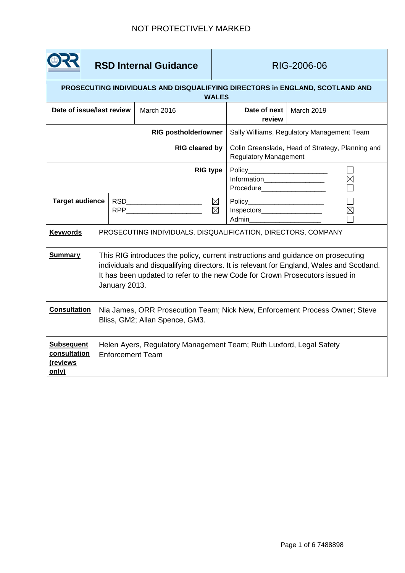**RSD Internal Guidance | RIG-2006-06** 

#### **PROSECUTING INDIVIDUALS AND DISQUALIFYING DIRECTORS in ENGLAND, SCOTLAND AND WALES**

| Date of issue/last review                              |                                                                                                                                                                                                                                                                               | March 2016 |                               | Date of next<br>review     | March 2019                                                                       |             |  |
|--------------------------------------------------------|-------------------------------------------------------------------------------------------------------------------------------------------------------------------------------------------------------------------------------------------------------------------------------|------------|-------------------------------|----------------------------|----------------------------------------------------------------------------------|-------------|--|
| <b>RIG postholder/owner</b>                            |                                                                                                                                                                                                                                                                               |            |                               |                            | Sally Williams, Regulatory Management Team                                       |             |  |
| <b>RIG cleared by</b>                                  |                                                                                                                                                                                                                                                                               |            |                               |                            | Colin Greenslade, Head of Strategy, Planning and<br><b>Regulatory Management</b> |             |  |
| <b>RIG type</b>                                        |                                                                                                                                                                                                                                                                               |            |                               |                            | Information____________________<br>$\boxtimes$<br>Procedure___________________   |             |  |
| <b>Target audience</b>                                 |                                                                                                                                                                                                                                                                               |            | RSD__________________________ | $\boxtimes$<br>$\boxtimes$ | $Inspectors$ $\qquad \qquad \qquad \qquad \qquad \qquad \qquad$                  | $\boxtimes$ |  |
| <b>Keywords</b>                                        | PROSECUTING INDIVIDUALS, DISQUALIFICATION, DIRECTORS, COMPANY                                                                                                                                                                                                                 |            |                               |                            |                                                                                  |             |  |
| <b>Summary</b>                                         | This RIG introduces the policy, current instructions and guidance on prosecuting<br>individuals and disqualifying directors. It is relevant for England, Wales and Scotland.<br>It has been updated to refer to the new Code for Crown Prosecutors issued in<br>January 2013. |            |                               |                            |                                                                                  |             |  |
| <b>Consultation</b>                                    | Nia James, ORR Prosecution Team; Nick New, Enforcement Process Owner; Steve<br>Bliss, GM2; Allan Spence, GM3.                                                                                                                                                                 |            |                               |                            |                                                                                  |             |  |
| <b>Subsequent</b><br>consultation<br>(reviews<br>only) | Helen Ayers, Regulatory Management Team; Ruth Luxford, Legal Safety<br><b>Enforcement Team</b>                                                                                                                                                                                |            |                               |                            |                                                                                  |             |  |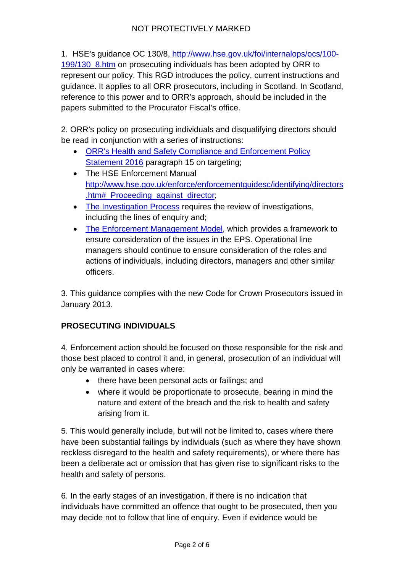1. HSE's guidance OC 130/8, [http://www.hse.gov.uk/foi/internalops/ocs/100-](http://www.hse.gov.uk/foi/internalops/ocs/100-199/130_8.htm) [199/130\\_8.htm](http://www.hse.gov.uk/foi/internalops/ocs/100-199/130_8.htm) on prosecuting individuals has been adopted by ORR to represent our policy. This RGD introduces the policy, current instructions and guidance. It applies to all ORR prosecutors, including in Scotland. In Scotland, reference to this power and to ORR's approach, should be included in the papers submitted to the Procurator Fiscal's office.

2. ORR's policy on prosecuting individuals and disqualifying directors should be read in conjunction with a series of instructions:

- [ORR's Health and Safety Compliance and](http://www.rail-reg.gov.uk/upload/pdf/hswa-enforcement-policy-statement-020810.pdf) Enforcement Policy [Statement](http://www.rail-reg.gov.uk/upload/pdf/hswa-enforcement-policy-statement-020810.pdf) 2016 paragraph 15 on targeting;
- The HSE Enforcement Manual [http://www.hse.gov.uk/enforce/enforcementguidesc/identifying/directors](http://www.hse.gov.uk/enforce/enforcementguidesc/identifying/directors.htm#_Proceeding_against_director) [.htm#\\_Proceeding\\_against\\_director;](http://www.hse.gov.uk/enforce/enforcementguidesc/identifying/directors.htm#_Proceeding_against_director)
- [The Investigation Process](http://orracle.orr.gov.uk/upload/xlsx/investigation-process.xlsx) requires the review of investigations, including the lines of enquiry and;
- [The Enforcement Management Model,](http://www.hse.gov.uk/enforce/emm.pdf#search=%22Enforcement%) which provides a framework to ensure consideration of the issues in the EPS. Operational line managers should continue to ensure consideration of the roles and actions of individuals, including directors, managers and other similar officers.

3. This guidance complies with the new Code for Crown Prosecutors issued in January 2013.

# **PROSECUTING INDIVIDUALS**

4. Enforcement action should be focused on those responsible for the risk and those best placed to control it and, in general, prosecution of an individual will only be warranted in cases where:

- there have been personal acts or failings; and
- where it would be proportionate to prosecute, bearing in mind the nature and extent of the breach and the risk to health and safety arising from it.

5. This would generally include, but will not be limited to, cases where there have been substantial failings by individuals (such as where they have shown reckless disregard to the health and safety requirements), or where there has been a deliberate act or omission that has given rise to significant risks to the health and safety of persons.

6. In the early stages of an investigation, if there is no indication that individuals have committed an offence that ought to be prosecuted, then you may decide not to follow that line of enquiry. Even if evidence would be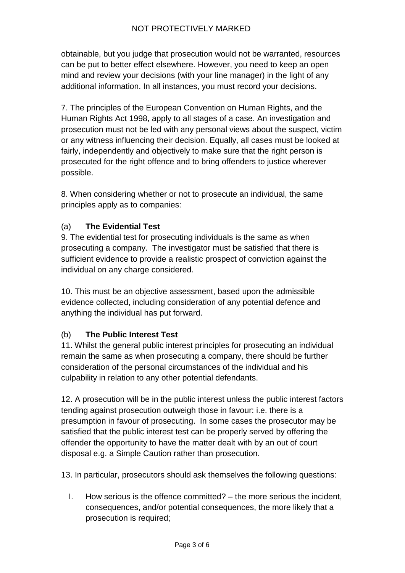### NOT PROTECTIVELY MARKED

obtainable, but you judge that prosecution would not be warranted, resources can be put to better effect elsewhere. However, you need to keep an open mind and review your decisions (with your line manager) in the light of any additional information. In all instances, you must record your decisions.

7. The principles of the European Convention on Human Rights, and the Human Rights Act 1998, apply to all stages of a case. An investigation and prosecution must not be led with any personal views about the suspect, victim or any witness influencing their decision. Equally, all cases must be looked at fairly, independently and objectively to make sure that the right person is prosecuted for the right offence and to bring offenders to justice wherever possible.

8. When considering whether or not to prosecute an individual, the same principles apply as to companies:

### (a) **The Evidential Test**

9. The evidential test for prosecuting individuals is the same as when prosecuting a company. The investigator must be satisfied that there is sufficient evidence to provide a realistic prospect of conviction against the individual on any charge considered.

10. This must be an objective assessment, based upon the admissible evidence collected, including consideration of any potential defence and anything the individual has put forward.

### (b) **The Public Interest Test**

11. Whilst the general public interest principles for prosecuting an individual remain the same as when prosecuting a company, there should be further consideration of the personal circumstances of the individual and his culpability in relation to any other potential defendants.

12. A prosecution will be in the public interest unless the public interest factors tending against prosecution outweigh those in favour: i.e. there is a presumption in favour of prosecuting. In some cases the prosecutor may be satisfied that the public interest test can be properly served by offering the offender the opportunity to have the matter dealt with by an out of court disposal e.g. a Simple Caution rather than prosecution.

13. In particular, prosecutors should ask themselves the following questions:

I. How serious is the offence committed? – the more serious the incident, consequences, and/or potential consequences, the more likely that a prosecution is required;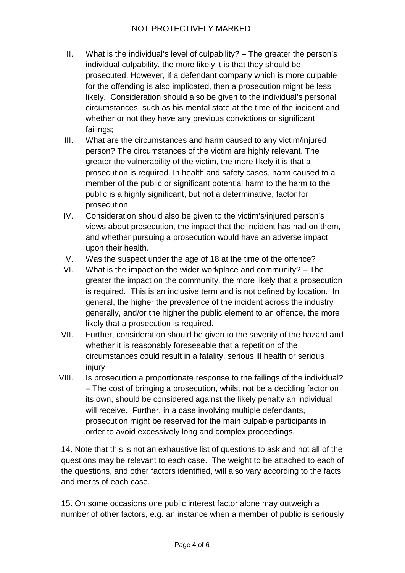- II. What is the individual's level of culpability? The greater the person's individual culpability, the more likely it is that they should be prosecuted. However, if a defendant company which is more culpable for the offending is also implicated, then a prosecution might be less likely. Consideration should also be given to the individual's personal circumstances, such as his mental state at the time of the incident and whether or not they have any previous convictions or significant failings;
- III. What are the circumstances and harm caused to any victim/injured person? The circumstances of the victim are highly relevant. The greater the vulnerability of the victim, the more likely it is that a prosecution is required. In health and safety cases, harm caused to a member of the public or significant potential harm to the harm to the public is a highly significant, but not a determinative, factor for prosecution.
- IV. Consideration should also be given to the victim's/injured person's views about prosecution, the impact that the incident has had on them, and whether pursuing a prosecution would have an adverse impact upon their health.
- V. Was the suspect under the age of 18 at the time of the offence?
- VI. What is the impact on the wider workplace and community? The greater the impact on the community, the more likely that a prosecution is required. This is an inclusive term and is not defined by location. In general, the higher the prevalence of the incident across the industry generally, and/or the higher the public element to an offence, the more likely that a prosecution is required.
- VII. Further, consideration should be given to the severity of the hazard and whether it is reasonably foreseeable that a repetition of the circumstances could result in a fatality, serious ill health or serious injury.
- VIII. Is prosecution a proportionate response to the failings of the individual? – The cost of bringing a prosecution, whilst not be a deciding factor on its own, should be considered against the likely penalty an individual will receive. Further, in a case involving multiple defendants, prosecution might be reserved for the main culpable participants in order to avoid excessively long and complex proceedings.

14. Note that this is not an exhaustive list of questions to ask and not all of the questions may be relevant to each case. The weight to be attached to each of the questions, and other factors identified, will also vary according to the facts and merits of each case.

15. On some occasions one public interest factor alone may outweigh a number of other factors, e.g. an instance when a member of public is seriously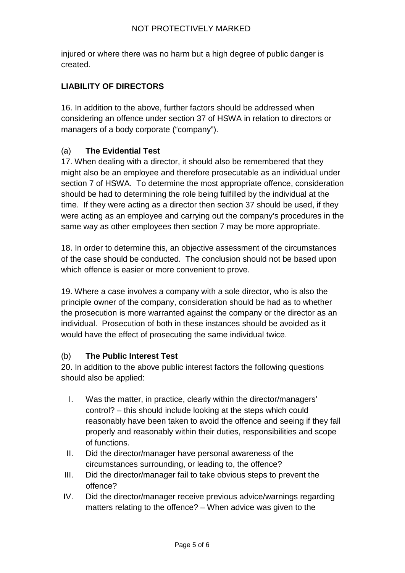injured or where there was no harm but a high degree of public danger is created.

## **LIABILITY OF DIRECTORS**

16. In addition to the above, further factors should be addressed when considering an offence under section 37 of HSWA in relation to directors or managers of a body corporate ("company").

### (a) **The Evidential Test**

17. When dealing with a director, it should also be remembered that they might also be an employee and therefore prosecutable as an individual under section 7 of HSWA. To determine the most appropriate offence, consideration should be had to determining the role being fulfilled by the individual at the time. If they were acting as a director then section 37 should be used, if they were acting as an employee and carrying out the company's procedures in the same way as other employees then section 7 may be more appropriate.

18. In order to determine this, an objective assessment of the circumstances of the case should be conducted. The conclusion should not be based upon which offence is easier or more convenient to prove.

19. Where a case involves a company with a sole director, who is also the principle owner of the company, consideration should be had as to whether the prosecution is more warranted against the company or the director as an individual. Prosecution of both in these instances should be avoided as it would have the effect of prosecuting the same individual twice.

### (b) **The Public Interest Test**

20. In addition to the above public interest factors the following questions should also be applied:

- I. Was the matter, in practice, clearly within the director/managers' control? – this should include looking at the steps which could reasonably have been taken to avoid the offence and seeing if they fall properly and reasonably within their duties, responsibilities and scope of functions.
- II. Did the director/manager have personal awareness of the circumstances surrounding, or leading to, the offence?
- III. Did the director/manager fail to take obvious steps to prevent the offence?
- IV. Did the director/manager receive previous advice/warnings regarding matters relating to the offence? – When advice was given to the